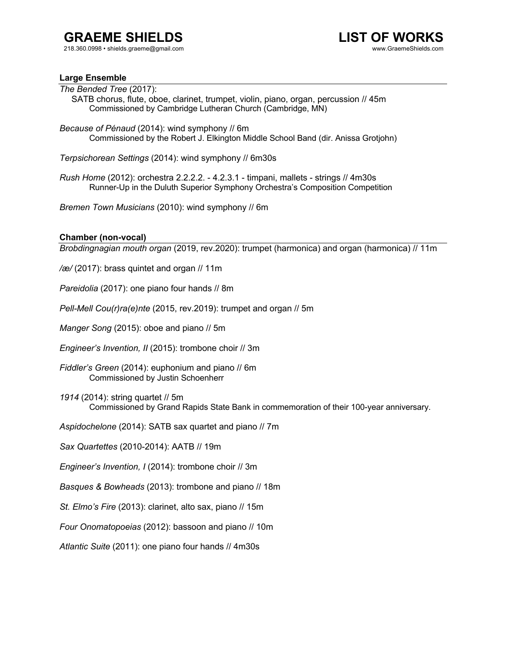# **GRAEME SHIELDS**

218.360.0998 • shields.graeme@gmail.com



## **Large Ensemble**

*The Bended Tree* (2017): SATB chorus, flute, oboe, clarinet, trumpet, violin, piano, organ, percussion // 45m Commissioned by Cambridge Lutheran Church (Cambridge, MN)

*Because of Pénaud* (2014): wind symphony // 6m Commissioned by the Robert J. Elkington Middle School Band (dir. Anissa Grotjohn)

*Terpsichorean Settings* (2014): wind symphony // 6m30s

*Rush Home* (2012): orchestra 2.2.2.2. - 4.2.3.1 - timpani, mallets - strings // 4m30s Runner-Up in the Duluth Superior Symphony Orchestra's Composition Competition

*Bremen Town Musicians* (2010): wind symphony // 6m

## **Chamber (non-vocal)**

*Brobdingnagian mouth organ* (2019, rev.2020): trumpet (harmonica) and organ (harmonica) // 11m

*/æ/* (2017): brass quintet and organ // 11m

*Pareidolia* (2017): one piano four hands // 8m

*Pell-Mell Cou(r)ra(e)nte* (2015, rev.2019): trumpet and organ // 5m

*Manger Song* (2015): oboe and piano // 5m

*Engineer's Invention, II* (2015): trombone choir // 3m

*Fiddler's Green* (2014): euphonium and piano // 6m Commissioned by Justin Schoenherr

*1914* (2014): string quartet // 5m Commissioned by Grand Rapids State Bank in commemoration of their 100-year anniversary.

*Aspidochelone* (2014): SATB sax quartet and piano // 7m

*Sax Quartettes* (2010-2014): AATB // 19m

*Engineer's Invention, I* (2014): trombone choir // 3m

*Basques & Bowheads* (2013): trombone and piano // 18m

*St. Elmo's Fire* (2013): clarinet, alto sax, piano // 15m

*Four Onomatopoeias* (2012): bassoon and piano // 10m

*Atlantic Suite* (2011): one piano four hands // 4m30s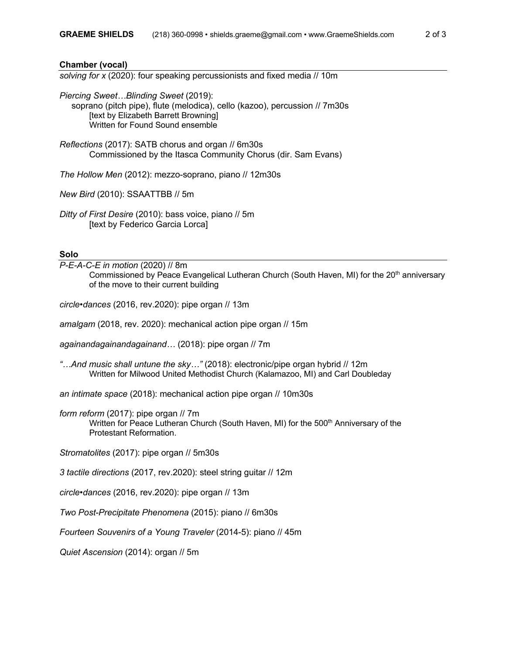#### **Chamber (vocal)**

*solving for x* (2020): four speaking percussionists and fixed media // 10m

*Piercing Sweet…Blinding Sweet* (2019): soprano (pitch pipe), flute (melodica), cello (kazoo), percussion // 7m30s **Itext by Elizabeth Barrett Browningl** Written for Found Sound ensemble

*Reflections* (2017): SATB chorus and organ // 6m30s Commissioned by the Itasca Community Chorus (dir. Sam Evans)

*The Hollow Men* (2012): mezzo-soprano, piano // 12m30s

*New Bird* (2010): SSAATTBB // 5m

*Ditty of First Desire* (2010): bass voice, piano // 5m [text by Federico Garcia Lorca]

#### **Solo**

*P-E-A-C-E in motion* (2020) // 8m Commissioned by Peace Evangelical Lutheran Church (South Haven, MI) for the 20<sup>th</sup> anniversary of the move to their current building

*circle•dances* (2016, rev.2020): pipe organ // 13m

*amalgam* (2018, rev. 2020): mechanical action pipe organ // 15m

*againandagainandagainand…* (2018): pipe organ // 7m

*"…And music shall untune the sky…"* (2018): electronic/pipe organ hybrid // 12m Written for Milwood United Methodist Church (Kalamazoo, MI) and Carl Doubleday

*an intimate space* (2018): mechanical action pipe organ // 10m30s

*form reform* (2017): pipe organ // 7m Written for Peace Lutheran Church (South Haven, MI) for the 500<sup>th</sup> Anniversary of the Protestant Reformation.

*Stromatolites* (2017): pipe organ // 5m30s

*3 tactile directions* (2017, rev.2020): steel string guitar // 12m

*circle•dances* (2016, rev.2020): pipe organ // 13m

*Two Post-Precipitate Phenomena* (2015): piano // 6m30s

*Fourteen Souvenirs of a Young Traveler* (2014-5): piano // 45m

*Quiet Ascension* (2014): organ // 5m